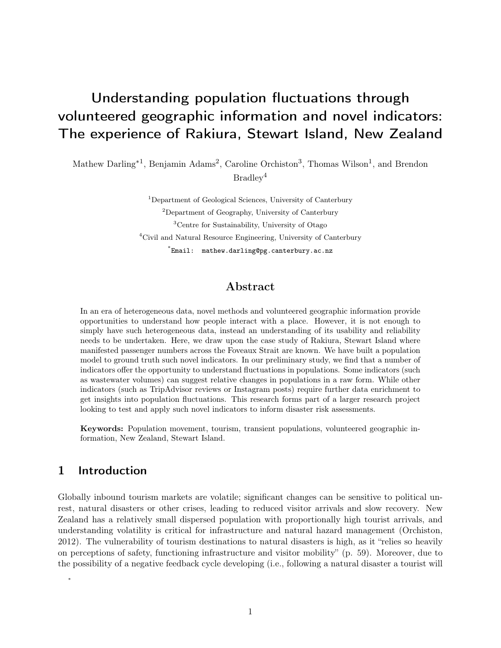# Understanding population fluctuations through volunteered geographic information and novel indicators: The experience of Rakiura, Stewart Island, New Zealand

Mathew Darling<sup>\*1</sup>, Benjamin Adams<sup>2</sup>, Caroline Orchiston<sup>3</sup>, Thomas Wilson<sup>1</sup>, and Brendon Bradley<sup>4</sup>

> Department of Geological Sciences, University of Canterbury Department of Geography, University of Canterbury Centre for Sustainability, University of Otago Civil and Natural Resource Engineering, University of Canterbury \* Email: mathew.darling@pg.canterbury.ac.nz

### Abstract

In an era of heterogeneous data, novel methods and volunteered geographic information provide opportunities to understand how people interact with a place. However, it is not enough to simply have such heterogeneous data, instead an understanding of its usability and reliability needs to be undertaken. Here, we draw upon the case study of Rakiura, Stewart Island where manifested passenger numbers across the Foveaux Strait are known. We have built a population model to ground truth such novel indicators. In our preliminary study, we find that a number of indicators offer the opportunity to understand fluctuations in populations. Some indicators (such as wastewater volumes) can suggest relative changes in populations in a raw form. While other indicators (such as TripAdvisor reviews or Instagram posts) require further data enrichment to get insights into population fluctuations. This research forms part of a larger research project looking to test and apply such novel indicators to inform disaster risk assessments.

Keywords: Population movement, tourism, transient populations, volunteered geographic information, New Zealand, Stewart Island.

### 1 Introduction

∗

Globally inbound tourism markets are volatile; significant changes can be sensitive to political unrest, natural disasters or other crises, leading to reduced visitor arrivals and slow recovery. New Zealand has a relatively small dispersed population with proportionally high tourist arrivals, and understanding volatility is critical for infrastructure and natural hazard management [\(Orchiston,](#page-6-0) [2012\)](#page-6-0). The vulnerability of tourism destinations to natural disasters is high, as it "relies so heavily on perceptions of safety, functioning infrastructure and visitor mobility" (p. 59). Moreover, due to the possibility of a negative feedback cycle developing (i.e., following a natural disaster a tourist will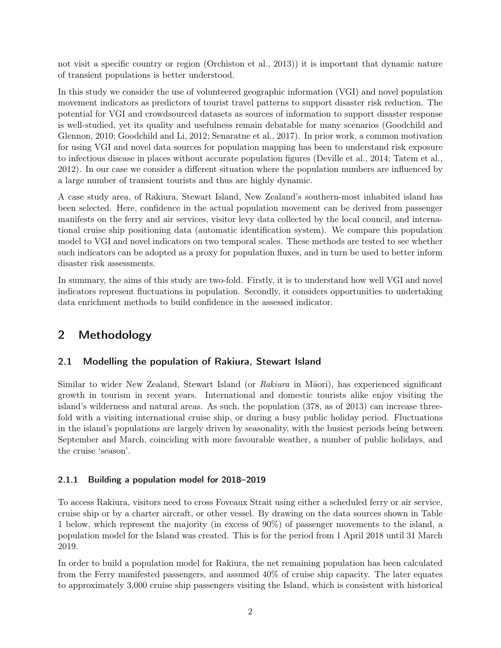not visit a specific country or region [\(Orchiston et al., 2013\)](#page-7-0)) it is important that dynamic nature of transient populations is better understood.

In this study we consider the use of volunteered geographic information (VGI) and novel population movement indicators as predictors of tourist travel patterns to support disaster risk reduction. The potential for VGI and crowdsourced datasets as sources of information to support disaster response is well-studied, yet its quality and usefulness remain debatable for many scenarios [\(Goodchild and](#page-6-1) [Glennon, 2010;](#page-6-1) [Goodchild and Li, 2012;](#page-6-2) [Senaratne et al., 2017\)](#page-7-1). In prior work, a common motivation for using VGI and novel data sources for population mapping has been to understand risk exposure to infectious disease in places without accurate population figures [\(Deville et al., 2014;](#page-6-3) [Tatem et al.,](#page-7-2) [2012\)](#page-7-2). In our case we consider a different situation where the population numbers are influenced by a large number of transient tourists and thus are highly dynamic.

A case study area, of Rakiura, Stewart Island, New Zealand's southern-most inhabited island has been selected. Here, confidence in the actual population movement can be derived from passenger manifests on the ferry and air services, visitor levy data collected by the local council, and international cruise ship positioning data (automatic identification system). We compare this population model to VGI and novel indicators on two temporal scales. These methods are tested to see whether such indicators can be adopted as a proxy for population fluxes, and in turn be used to better inform disaster risk assessments.

In summary, the aims of this study are two-fold. Firstly, it is to understand how well VGI and novel indicators represent fluctuations in population. Secondly, it considers opportunities to undertaking data enrichment methods to build confidence in the assessed indicator.

# 2 Methodology

### 2.1 Modelling the population of Rakiura, Stewart Island

Similar to wider New Zealand, Stewart Island (or Rakiura in Maori), has experienced significant growth in tourism in recent years. International and domestic tourists alike enjoy visiting the island's wilderness and natural areas. As such, the population (378, as of 2013) can increase threefold with a visiting international cruise ship, or during a busy public holiday period. Fluctuations in the island's populations are largely driven by seasonality, with the busiest periods being between September and March, coinciding with more favourable weather, a number of public holidays, and the cruise 'season'.

### 2.1.1 Building a population model for 2018–2019

To access Rakiura, visitors need to cross Foveaux Strait using either a scheduled ferry or air service, cruise ship or by a charter aircraft, or other vessel. By drawing on the data sources shown in Table 1 below, which represent the majority (in excess of 90%) of passenger movements to the island, a population model for the Island was created. This is for the period from 1 April 2018 until 31 March 2019.

In order to build a population model for Rakiura, the net remaining population has been calculated from the Ferry manifested passengers, and assumed 40% of cruise ship capacity. The later equates to approximately 3,000 cruise ship passengers visiting the Island, which is consistent with historical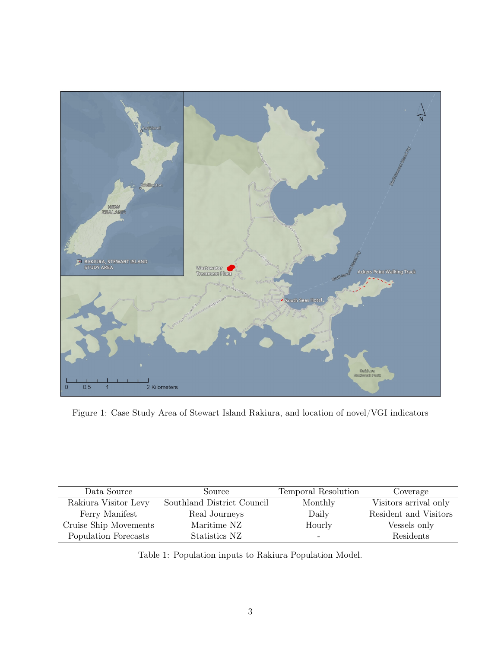

Figure 1: Case Study Area of Stewart Island Rakiura, and location of novel/VGI indicators

| Data Source           | Source                     | Temporal Resolution | Coverage              |
|-----------------------|----------------------------|---------------------|-----------------------|
| Rakiura Visitor Levy  | Southland District Council | Monthly             | Visitors arrival only |
| Ferry Manifest        | Real Journeys              | Daily               | Resident and Visitors |
| Cruise Ship Movements | Maritime NZ                | Hourly              | Vessels only          |
| Population Forecasts  | Statistics NZ              |                     | Residents             |

Table 1: Population inputs to Rakiura Population Model.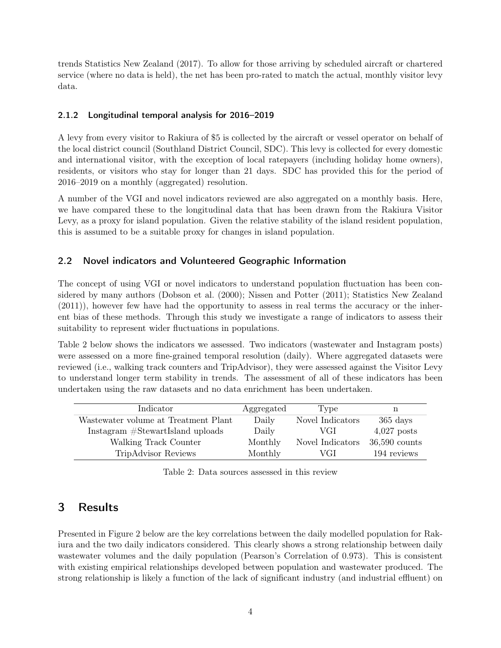trends [Statistics New Zealand](#page-7-3) [\(2017\)](#page-7-3). To allow for those arriving by scheduled aircraft or chartered service (where no data is held), the net has been pro-rated to match the actual, monthly visitor levy data.

#### 2.1.2 Longitudinal temporal analysis for 2016–2019

A levy from every visitor to Rakiura of \$5 is collected by the aircraft or vessel operator on behalf of the local district council (Southland District Council, SDC). This levy is collected for every domestic and international visitor, with the exception of local ratepayers (including holiday home owners), residents, or visitors who stay for longer than 21 days. SDC has provided this for the period of 2016–2019 on a monthly (aggregated) resolution.

A number of the VGI and novel indicators reviewed are also aggregated on a monthly basis. Here, we have compared these to the longitudinal data that has been drawn from the Rakiura Visitor Levy, as a proxy for island population. Given the relative stability of the island resident population, this is assumed to be a suitable proxy for changes in island population.

### 2.2 Novel indicators and Volunteered Geographic Information

The concept of using VGI or novel indicators to understand population fluctuation has been considered by many authors [\(Dobson et al.](#page-6-4) [\(2000\)](#page-6-4); [Nissen and Potter](#page-6-5) [\(2011\)](#page-6-5); [Statistics New Zealand](#page-7-4) [\(2011\)](#page-7-4)), however few have had the opportunity to assess in real terms the accuracy or the inherent bias of these methods. Through this study we investigate a range of indicators to assess their suitability to represent wider fluctuations in populations.

Table 2 below shows the indicators we assessed. Two indicators (wastewater and Instagram posts) were assessed on a more fine-grained temporal resolution (daily). Where aggregated datasets were reviewed (i.e., walking track counters and TripAdvisor), they were assessed against the Visitor Levy to understand longer term stability in trends. The assessment of all of these indicators has been undertaken using the raw datasets and no data enrichment has been undertaken.

| Indicator                            | Aggregated | Type             | n                  |
|--------------------------------------|------------|------------------|--------------------|
| Wastewater volume at Treatment Plant | Daily      | Novel Indicators | $365 \text{ days}$ |
| Instagram #StewartIsland uploads     | Daily      | VGI              | $4,027$ posts      |
| Walking Track Counter                | Monthly    | Novel Indicators | $36,590$ counts    |
| <b>TripAdvisor Reviews</b>           | Monthly    | VGI              | 194 reviews        |

Table 2: Data sources assessed in this review

# 3 Results

Presented in Figure 2 below are the key correlations between the daily modelled population for Rakiura and the two daily indicators considered. This clearly shows a strong relationship between daily wastewater volumes and the daily population (Pearson's Correlation of 0.973). This is consistent with existing empirical relationships developed between population and wastewater produced. The strong relationship is likely a function of the lack of significant industry (and industrial effluent) on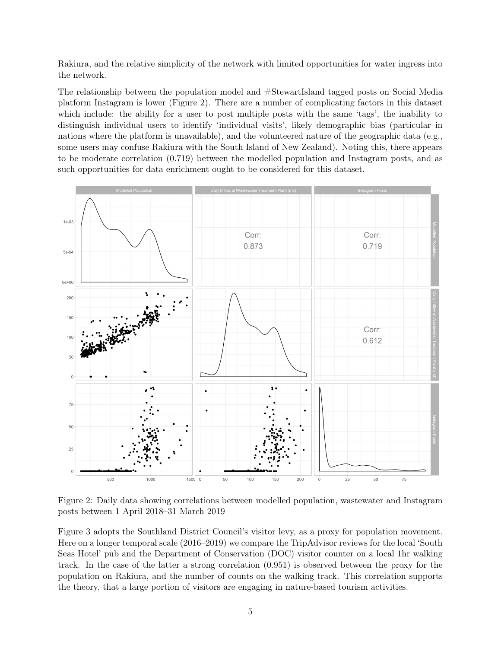Rakiura, and the relative simplicity of the network with limited opportunities for water ingress into the network.

The relationship between the population model and #StewartIsland tagged posts on Social Media platform Instagram is lower (Figure 2). There are a number of complicating factors in this dataset which include: the ability for a user to post multiple posts with the same 'tags', the inability to distinguish individual users to identify 'individual visits', likely demographic bias (particular in nations where the platform is unavailable), and the volunteered nature of the geographic data (e.g., some users may confuse Rakiura with the South Island of New Zealand). Noting this, there appears to be moderate correlation (0.719) between the modelled population and Instagram posts, and as such opportunities for data enrichment ought to be considered for this dataset.



Figure 2: Daily data showing correlations between modelled population, wastewater and Instagram posts between 1 April 2018–31 March 2019

Figure 3 adopts the Southland District Council's visitor levy, as a proxy for population movement. Here on a longer temporal scale (2016–2019) we compare the TripAdvisor reviews for the local 'South Seas Hotel' pub and the Department of Conservation (DOC) visitor counter on a local 1hr walking track. In the case of the latter a strong correlation (0.951) is observed between the proxy for the population on Rakiura, and the number of counts on the walking track. This correlation supports the theory, that a large portion of visitors are engaging in nature-based tourism activities.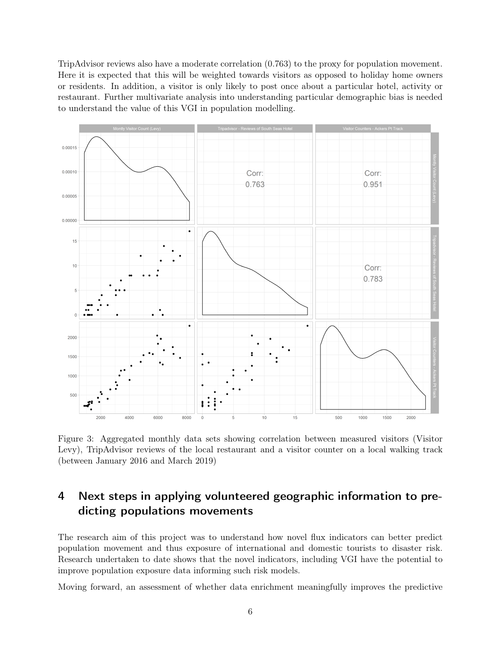TripAdvisor reviews also have a moderate correlation (0.763) to the proxy for population movement. Here it is expected that this will be weighted towards visitors as opposed to holiday home owners or residents. In addition, a visitor is only likely to post once about a particular hotel, activity or restaurant. Further multivariate analysis into understanding particular demographic bias is needed to understand the value of this VGI in population modelling.



Figure 3: Aggregated monthly data sets showing correlation between measured visitors (Visitor Levy), TripAdvisor reviews of the local restaurant and a visitor counter on a local walking track (between January 2016 and March 2019)

# 4 Next steps in applying volunteered geographic information to predicting populations movements

The research aim of this project was to understand how novel flux indicators can better predict population movement and thus exposure of international and domestic tourists to disaster risk. Research undertaken to date shows that the novel indicators, including VGI have the potential to improve population exposure data informing such risk models.

Moving forward, an assessment of whether data enrichment meaningfully improves the predictive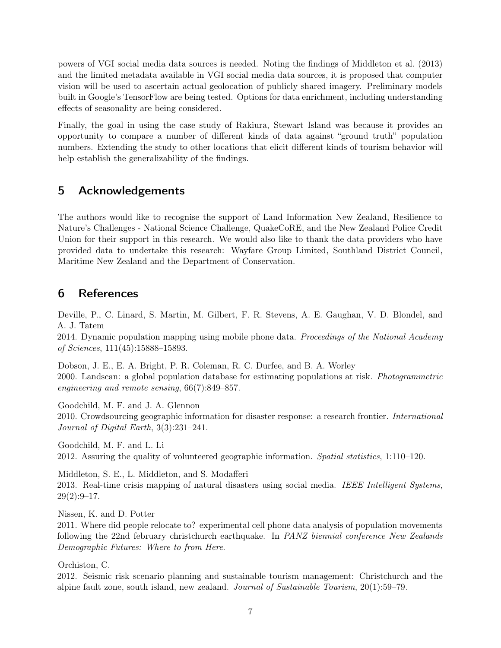powers of VGI social media data sources is needed. Noting the findings of [Middleton et al.](#page-6-6) [\(2013\)](#page-6-6) and the limited metadata available in VGI social media data sources, it is proposed that computer vision will be used to ascertain actual geolocation of publicly shared imagery. Preliminary models built in Google's TensorFlow are being tested. Options for data enrichment, including understanding effects of seasonality are being considered.

Finally, the goal in using the case study of Rakiura, Stewart Island was because it provides an opportunity to compare a number of different kinds of data against "ground truth" population numbers. Extending the study to other locations that elicit different kinds of tourism behavior will help establish the generalizability of the findings.

## 5 Acknowledgements

The authors would like to recognise the support of Land Information New Zealand, Resilience to Nature's Challenges - National Science Challenge, QuakeCoRE, and the New Zealand Police Credit Union for their support in this research. We would also like to thank the data providers who have provided data to undertake this research: Wayfare Group Limited, Southland District Council, Maritime New Zealand and the Department of Conservation.

# 6 References

<span id="page-6-3"></span>Deville, P., C. Linard, S. Martin, M. Gilbert, F. R. Stevens, A. E. Gaughan, V. D. Blondel, and A. J. Tatem

2014. Dynamic population mapping using mobile phone data. Proceedings of the National Academy of Sciences, 111(45):15888–15893.

<span id="page-6-4"></span>Dobson, J. E., E. A. Bright, P. R. Coleman, R. C. Durfee, and B. A. Worley 2000. Landscan: a global population database for estimating populations at risk. Photogrammetric engineering and remote sensing, 66(7):849–857.

<span id="page-6-1"></span>Goodchild, M. F. and J. A. Glennon 2010. Crowdsourcing geographic information for disaster response: a research frontier. International Journal of Digital Earth, 3(3):231–241.

<span id="page-6-2"></span>Goodchild, M. F. and L. Li 2012. Assuring the quality of volunteered geographic information. Spatial statistics, 1:110–120.

<span id="page-6-6"></span>Middleton, S. E., L. Middleton, and S. Modafferi 2013. Real-time crisis mapping of natural disasters using social media. IEEE Intelligent Systems,  $29(2):9-17.$ 

<span id="page-6-5"></span>Nissen, K. and D. Potter

2011. Where did people relocate to? experimental cell phone data analysis of population movements following the 22nd february christchurch earthquake. In PANZ biennial conference New Zealands Demographic Futures: Where to from Here.

<span id="page-6-0"></span>Orchiston, C.

2012. Seismic risk scenario planning and sustainable tourism management: Christchurch and the alpine fault zone, south island, new zealand. Journal of Sustainable Tourism, 20(1):59–79.